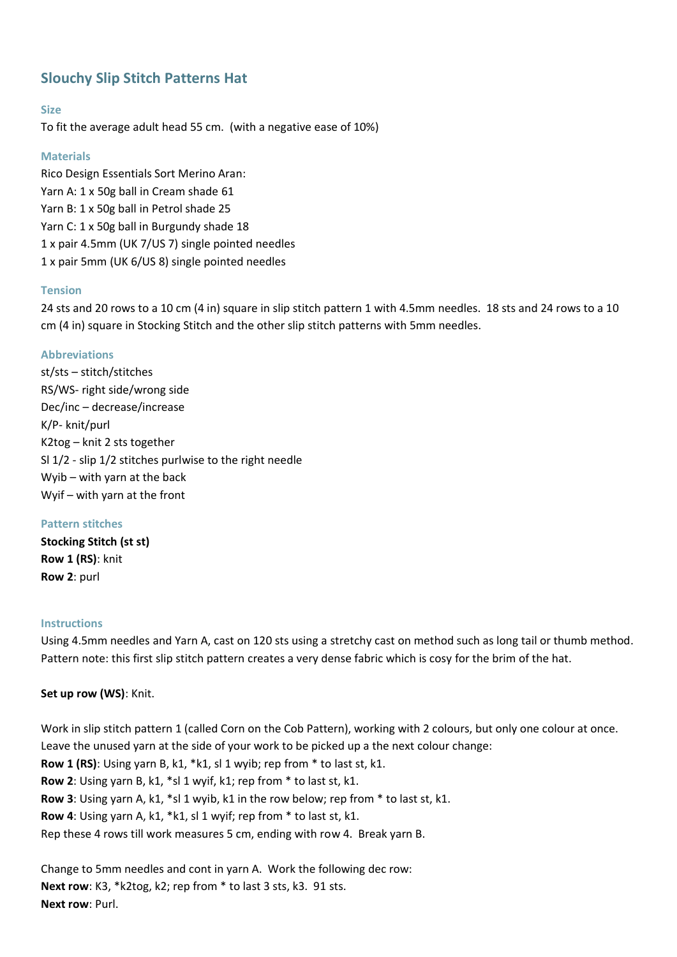# **Slouchy Slip Stitch Patterns Hat**

## **Size**

To fit the average adult head 55 cm. (with a negative ease of 10%)

## **Materials**

Rico Design Essentials Sort Merino Aran: Yarn A: 1 x 50g ball in Cream shade 61 Yarn B: 1 x 50g ball in Petrol shade 25 Yarn C: 1 x 50g ball in Burgundy shade 18 1 x pair 4.5mm (UK 7/US 7) single pointed needles 1 x pair 5mm (UK 6/US 8) single pointed needles

## **Tension**

24 sts and 20 rows to a 10 cm (4 in) square in slip stitch pattern 1 with 4.5mm needles. 18 sts and 24 rows to a 10 cm (4 in) square in Stocking Stitch and the other slip stitch patterns with 5mm needles.

## **Abbreviations**

st/sts – stitch/stitches RS/WS- right side/wrong side Dec/inc – decrease/increase K/P- knit/purl K2tog – knit 2 sts together Sl 1/2 - slip 1/2 stitches purlwise to the right needle Wyib – with yarn at the back Wyif – with yarn at the front

## **Pattern stitches**

**Stocking Stitch (st st) Row 1 (RS)**: knit **Row 2**: purl

## **Instructions**

Using 4.5mm needles and Yarn A, cast on 120 sts using a stretchy cast on method such as long tail or thumb method. Pattern note: this first slip stitch pattern creates a very dense fabric which is cosy for the brim of the hat.

## **Set up row (WS)**: Knit.

Work in slip stitch pattern 1 (called Corn on the Cob Pattern), working with 2 colours, but only one colour at once. Leave the unused yarn at the side of your work to be picked up a the next colour change: **Row 1 (RS)**: Using yarn B, k1, \*k1, sl 1 wyib; rep from \* to last st, k1. **Row 2**: Using yarn B, k1, \*sl 1 wyif, k1; rep from \* to last st, k1. **Row 3**: Using yarn A, k1, \*sl 1 wyib, k1 in the row below; rep from \* to last st, k1. **Row 4**: Using yarn A, k1, \*k1, sl 1 wyif; rep from \* to last st, k1. Rep these 4 rows till work measures 5 cm, ending with row 4. Break yarn B.

Change to 5mm needles and cont in yarn A. Work the following dec row: **Next row**: K3, \*k2tog, k2; rep from \* to last 3 sts, k3. 91 sts. **Next row**: Purl.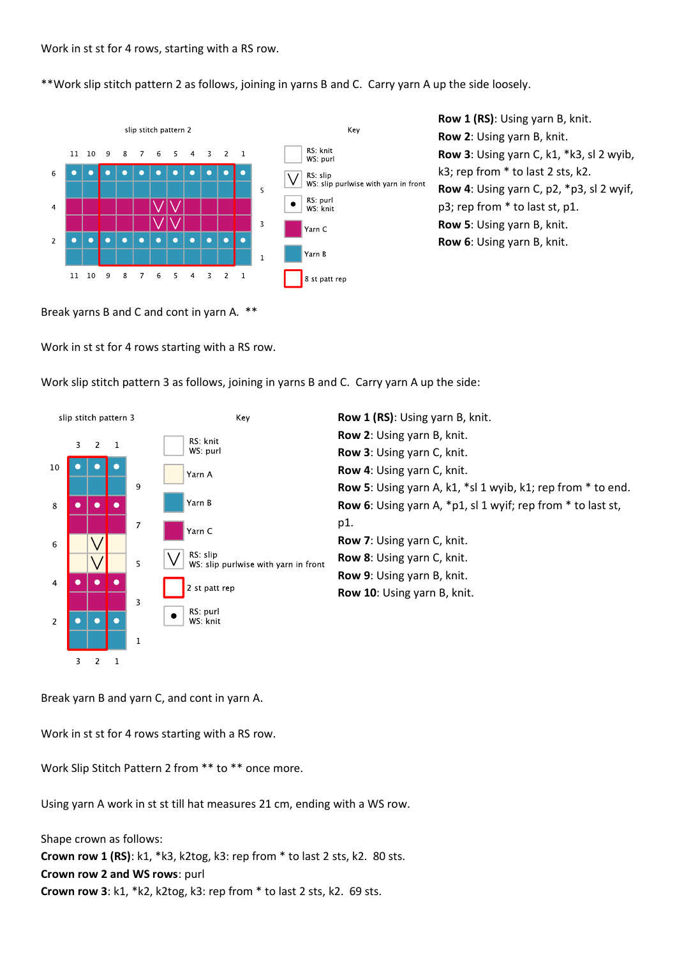\*\*Work slip stitch pattern 2 as follows, joining in yarns B and C. Carry yarn A up the side loosely.



Break yarns B and C and cont in yarn A. \*\*

Work in st st for 4 rows starting with a RS row.

Work slip stitch pattern 3 as follows, joining in yarns B and C. Carry yarn A up the side:



Break yarn B and yarn C, and cont in yarn A.

Work in st st for 4 rows starting with a RS row.

Work Slip Stitch Pattern 2 from \*\* to \*\* once more.

Using yarn A work in st st till hat measures 21 cm, ending with a WS row.

Shape crown as follows: **Crown row 1 (RS)**: k1, \*k3, k2tog, k3: rep from \* to last 2 sts, k2. 80 sts. **Crown row 2 and WS rows**: purl **Crown row 3**: k1, \*k2, k2tog, k3: rep from \* to last 2 sts, k2. 69 sts.